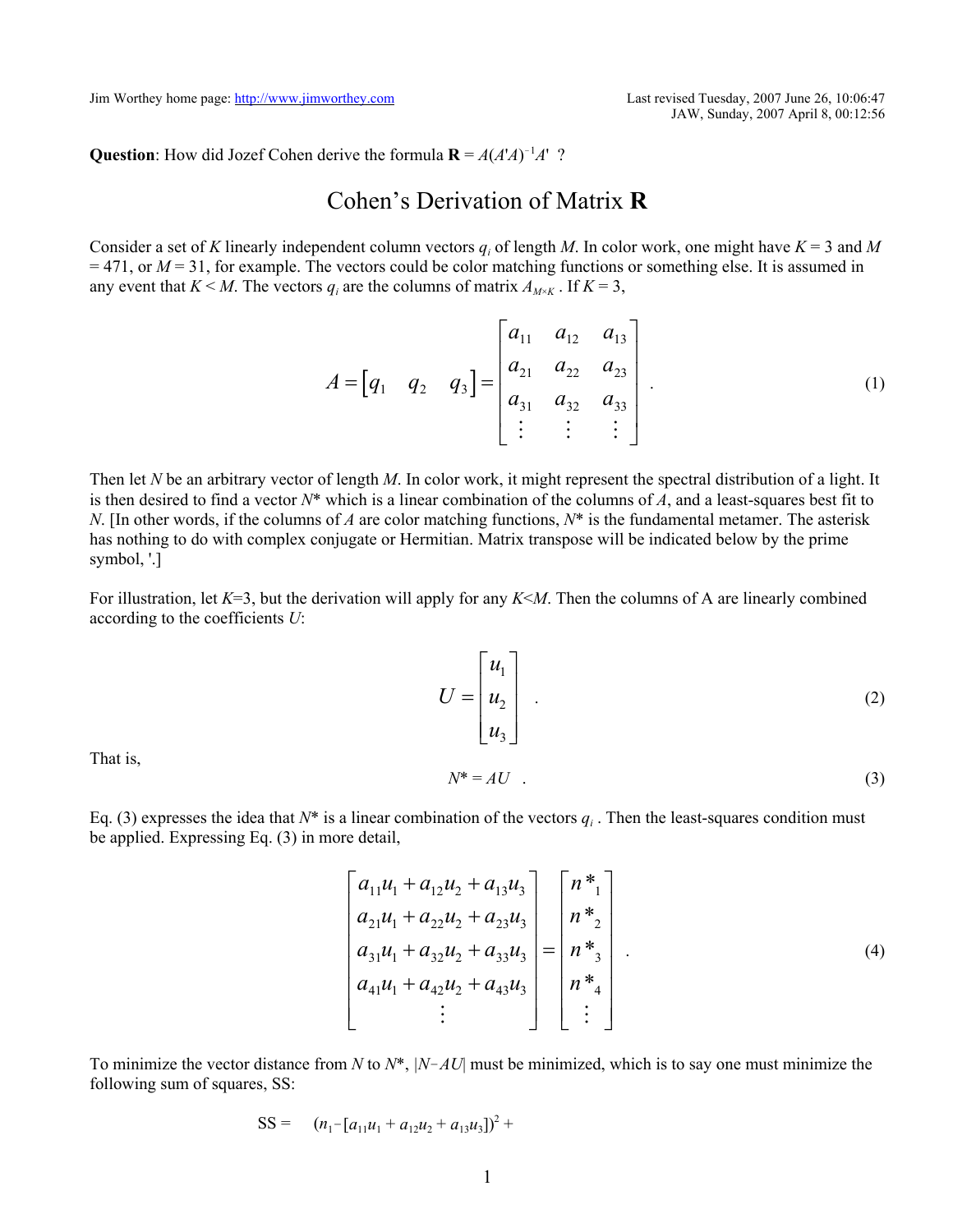JAW, Sunday, 2007 April 8, 00:12:56

**Question**: How did Jozef Cohen derive the formula  $\mathbf{R} = A(A'A)^{-1}A'$  ?

## Cohen's Derivation of Matrix **R**

Consider a set of *K* linearly independent column vectors  $q_i$  of length *M*. In color work, one might have  $K = 3$  and *M*  $=$  471, or  $M = 31$ , for example. The vectors could be color matching functions or something else. It is assumed in any event that  $K \leq M$ . The vectors  $q_i$  are the columns of matrix  $A_{M \times K}$ . If  $K = 3$ ,

$$
A = \begin{bmatrix} q_1 & q_2 & q_3 \end{bmatrix} = \begin{bmatrix} a_{11} & a_{12} & a_{13} \\ a_{21} & a_{22} & a_{23} \\ a_{31} & a_{32} & a_{33} \\ \vdots & \vdots & \vdots \end{bmatrix} . \tag{1}
$$

Then let *N* be an arbitrary vector of length *M*. In color work, it might represent the spectral distribution of a light. It is then desired to find a vector *N*\* which is a linear combination of the columns of *A*, and a least-squares best fit to *N*. [In other words, if the columns of *A* are color matching functions, *N*\* is the fundamental metamer. The asterisk has nothing to do with complex conjugate or Hermitian. Matrix transpose will be indicated below by the prime symbol, '.]

For illustration, let *K*=3, but the derivation will apply for any *K*<*M*. Then the columns of A are linearly combined according to the coefficients *U*:

$$
U = \begin{bmatrix} u_1 \\ u_2 \\ u_3 \end{bmatrix} . \tag{2}
$$

That is,

$$
N^* = AU \tag{3}
$$

Eq. (3) expresses the idea that  $N^*$  is a linear combination of the vectors  $q_i$ . Then the least-squares condition must be applied. Expressing Eq. (3) in more detail,

$$
\begin{bmatrix} a_{11}u_1 + a_{12}u_2 + a_{13}u_3 \ a_{21}u_1 + a_{22}u_2 + a_{23}u_3 \ a_{31}u_1 + a_{32}u_2 + a_{33}u_3 \ a_{41}u_1 + a_{42}u_2 + a_{43}u_3 \ \vdots \end{bmatrix} = \begin{bmatrix} n^* \\ n^* \\ n^* \\ n^* \\ n^* \\ \vdots \end{bmatrix}.
$$
 (4)

To minimize the vector distance from *N* to *N*\*, *|N*!*AU*| must be minimized, which is to say one must minimize the following sum of squares, SS:

$$
SS = (n_1 - [a_{11}u_1 + a_{12}u_2 + a_{13}u_3])^2 +
$$